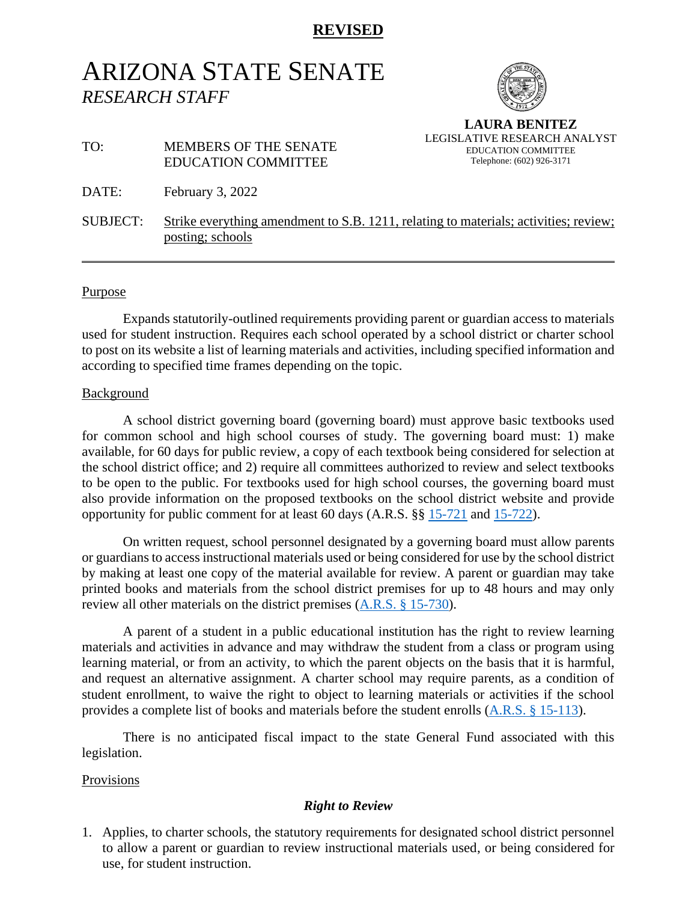# **REVISED**

# ARIZONA STATE SENATE *RESEARCH STAFF*



**LAURA BENITEZ** LEGISLATIVE RESEARCH ANALYST EDUCATION COMMITTEE Telephone: (602) 926-3171

## TO: MEMBERS OF THE SENATE EDUCATION COMMITTEE

DATE: February 3, 2022

SUBJECT: Strike everything amendment to S.B. 1211, relating to materials; activities; review; posting; schools

#### Purpose

Expands statutorily-outlined requirements providing parent or guardian access to materials used for student instruction. Requires each school operated by a school district or charter school to post on its website a list of learning materials and activities, including specified information and according to specified time frames depending on the topic.

#### Background

A school district governing board (governing board) must approve basic textbooks used for common school and high school courses of study. The governing board must: 1) make available, for 60 days for public review, a copy of each textbook being considered for selection at the school district office; and 2) require all committees authorized to review and select textbooks to be open to the public. For textbooks used for high school courses, the governing board must also provide information on the proposed textbooks on the school district website and provide opportunity for public comment for at least 60 days (A.R.S. §§ [15-721](https://www.azleg.gov/viewdocument/?docName=https://www.azleg.gov/ars/15/00721.htm) and [15-722\)](https://www.azleg.gov/viewdocument/?docName=https://www.azleg.gov/ars/15/00722.htm).

On written request, school personnel designated by a governing board must allow parents or guardians to access instructional materials used or being considered for use by the school district by making at least one copy of the material available for review. A parent or guardian may take printed books and materials from the school district premises for up to 48 hours and may only review all other materials on the district premises [\(A.R.S. § 15-730\)](https://www.azleg.gov/viewdocument/?docName=https://www.azleg.gov/ars/15/00730.htm).

A parent of a student in a public educational institution has the right to review learning materials and activities in advance and may withdraw the student from a class or program using learning material, or from an activity, to which the parent objects on the basis that it is harmful, and request an alternative assignment. A charter school may require parents, as a condition of student enrollment, to waive the right to object to learning materials or activities if the school provides a complete list of books and materials before the student enrolls [\(A.R.S. § 15-113\)](https://www.azleg.gov/viewdocument/?docName=https://www.azleg.gov/ars/15/00113.htm).

There is no anticipated fiscal impact to the state General Fund associated with this legislation.

#### Provisions

## *Right to Review*

1. Applies, to charter schools, the statutory requirements for designated school district personnel to allow a parent or guardian to review instructional materials used, or being considered for use, for student instruction.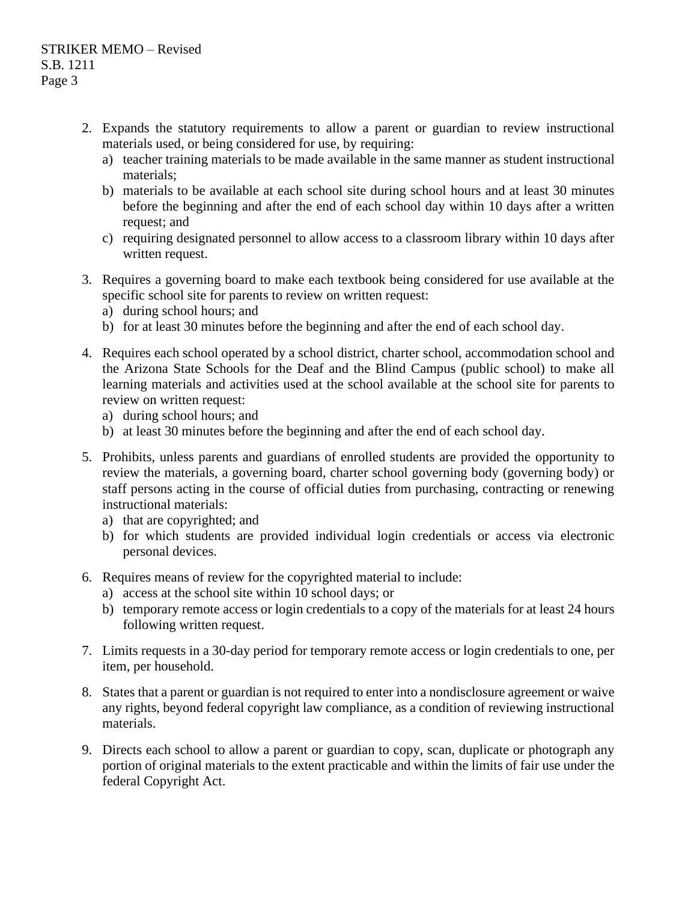- 2. Expands the statutory requirements to allow a parent or guardian to review instructional materials used, or being considered for use, by requiring:
	- a) teacher training materials to be made available in the same manner as student instructional materials;
	- b) materials to be available at each school site during school hours and at least 30 minutes before the beginning and after the end of each school day within 10 days after a written request; and
	- c) requiring designated personnel to allow access to a classroom library within 10 days after written request.
- 3. Requires a governing board to make each textbook being considered for use available at the specific school site for parents to review on written request:
	- a) during school hours; and
	- b) for at least 30 minutes before the beginning and after the end of each school day.
- 4. Requires each school operated by a school district, charter school, accommodation school and the Arizona State Schools for the Deaf and the Blind Campus (public school) to make all learning materials and activities used at the school available at the school site for parents to review on written request:
	- a) during school hours; and
	- b) at least 30 minutes before the beginning and after the end of each school day.
- 5. Prohibits, unless parents and guardians of enrolled students are provided the opportunity to review the materials, a governing board, charter school governing body (governing body) or staff persons acting in the course of official duties from purchasing, contracting or renewing instructional materials:
	- a) that are copyrighted; and
	- b) for which students are provided individual login credentials or access via electronic personal devices.
- 6. Requires means of review for the copyrighted material to include:
	- a) access at the school site within 10 school days; or
	- b) temporary remote access or login credentials to a copy of the materials for at least 24 hours following written request.
- 7. Limits requests in a 30-day period for temporary remote access or login credentials to one, per item, per household.
- 8. States that a parent or guardian is not required to enter into a nondisclosure agreement or waive any rights, beyond federal copyright law compliance, as a condition of reviewing instructional materials.
- 9. Directs each school to allow a parent or guardian to copy, scan, duplicate or photograph any portion of original materials to the extent practicable and within the limits of fair use under the federal Copyright Act.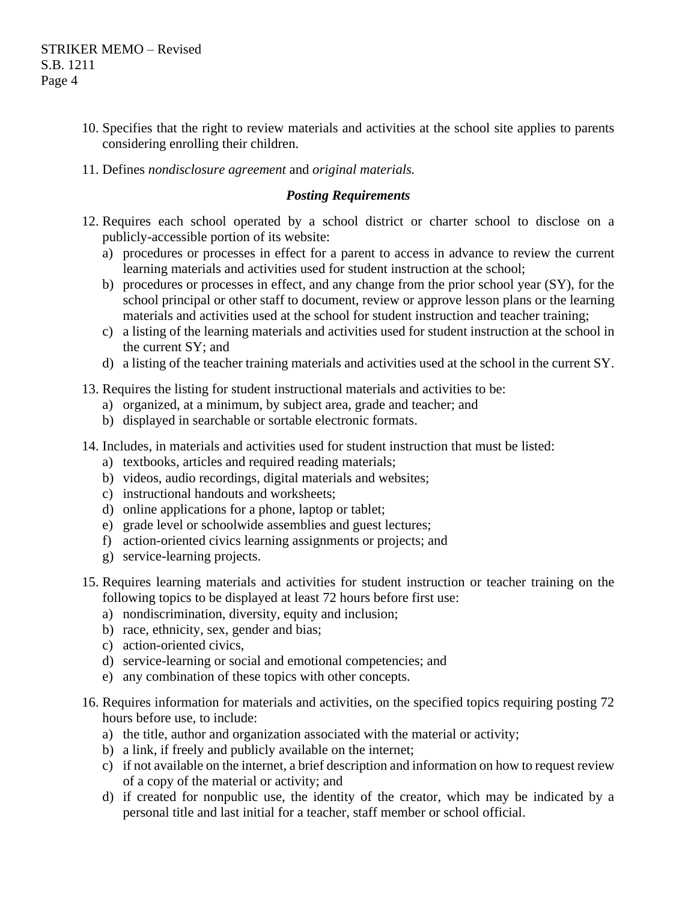- 10. Specifies that the right to review materials and activities at the school site applies to parents considering enrolling their children.
- 11. Defines *nondisclosure agreement* and *original materials.*

### *Posting Requirements*

- 12. Requires each school operated by a school district or charter school to disclose on a publicly-accessible portion of its website:
	- a) procedures or processes in effect for a parent to access in advance to review the current learning materials and activities used for student instruction at the school;
	- b) procedures or processes in effect, and any change from the prior school year (SY), for the school principal or other staff to document, review or approve lesson plans or the learning materials and activities used at the school for student instruction and teacher training;
	- c) a listing of the learning materials and activities used for student instruction at the school in the current SY; and
	- d) a listing of the teacher training materials and activities used at the school in the current SY.
- 13. Requires the listing for student instructional materials and activities to be:
	- a) organized, at a minimum, by subject area, grade and teacher; and
	- b) displayed in searchable or sortable electronic formats.
- 14. Includes, in materials and activities used for student instruction that must be listed:
	- a) textbooks, articles and required reading materials;
	- b) videos, audio recordings, digital materials and websites;
	- c) instructional handouts and worksheets;
	- d) online applications for a phone, laptop or tablet;
	- e) grade level or schoolwide assemblies and guest lectures;
	- f) action-oriented civics learning assignments or projects; and
	- g) service-learning projects.
- 15. Requires learning materials and activities for student instruction or teacher training on the following topics to be displayed at least 72 hours before first use:
	- a) nondiscrimination, diversity, equity and inclusion;
	- b) race, ethnicity, sex, gender and bias;
	- c) action-oriented civics,
	- d) service-learning or social and emotional competencies; and
	- e) any combination of these topics with other concepts.
- 16. Requires information for materials and activities, on the specified topics requiring posting 72 hours before use, to include:
	- a) the title, author and organization associated with the material or activity;
	- b) a link, if freely and publicly available on the internet;
	- c) if not available on the internet, a brief description and information on how to request review of a copy of the material or activity; and
	- d) if created for nonpublic use, the identity of the creator, which may be indicated by a personal title and last initial for a teacher, staff member or school official.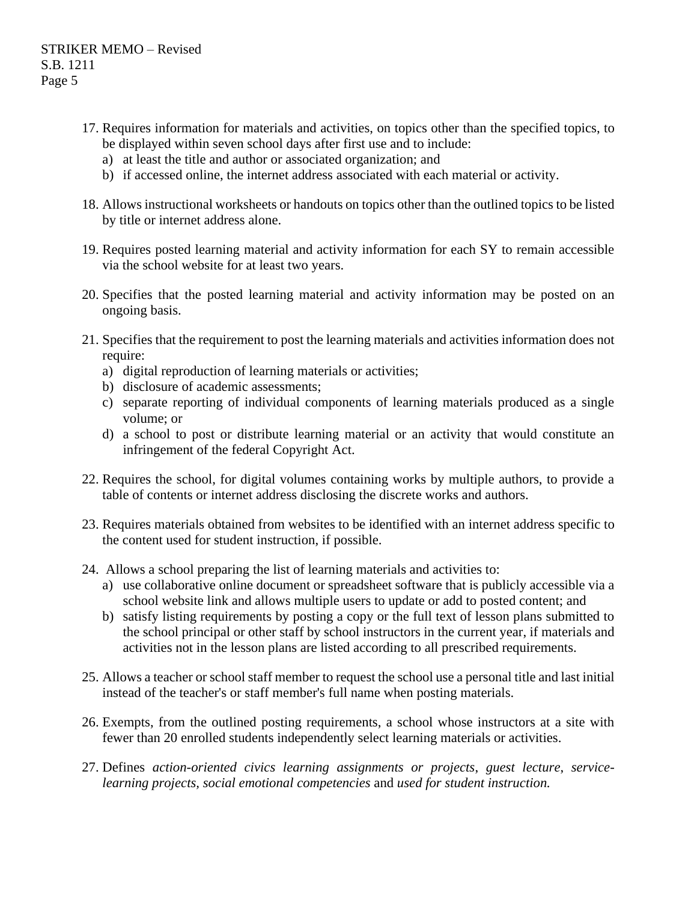- 17. Requires information for materials and activities, on topics other than the specified topics, to be displayed within seven school days after first use and to include:
	- a) at least the title and author or associated organization; and
	- b) if accessed online, the internet address associated with each material or activity.
- 18. Allows instructional worksheets or handouts on topics other than the outlined topics to be listed by title or internet address alone.
- 19. Requires posted learning material and activity information for each SY to remain accessible via the school website for at least two years.
- 20. Specifies that the posted learning material and activity information may be posted on an ongoing basis.
- 21. Specifies that the requirement to post the learning materials and activities information does not require:
	- a) digital reproduction of learning materials or activities;
	- b) disclosure of academic assessments;
	- c) separate reporting of individual components of learning materials produced as a single volume; or
	- d) a school to post or distribute learning material or an activity that would constitute an infringement of the federal Copyright Act.
- 22. Requires the school, for digital volumes containing works by multiple authors, to provide a table of contents or internet address disclosing the discrete works and authors.
- 23. Requires materials obtained from websites to be identified with an internet address specific to the content used for student instruction, if possible.
- 24. Allows a school preparing the list of learning materials and activities to:
	- a) use collaborative online document or spreadsheet software that is publicly accessible via a school website link and allows multiple users to update or add to posted content; and
	- b) satisfy listing requirements by posting a copy or the full text of lesson plans submitted to the school principal or other staff by school instructors in the current year, if materials and activities not in the lesson plans are listed according to all prescribed requirements.
- 25. Allows a teacher or school staff member to request the school use a personal title and last initial instead of the teacher's or staff member's full name when posting materials.
- 26. Exempts, from the outlined posting requirements, a school whose instructors at a site with fewer than 20 enrolled students independently select learning materials or activities.
- 27. Defines *action-oriented civics learning assignments or projects*, *guest lecture*, *servicelearning projects, social emotional competencies* and *used for student instruction.*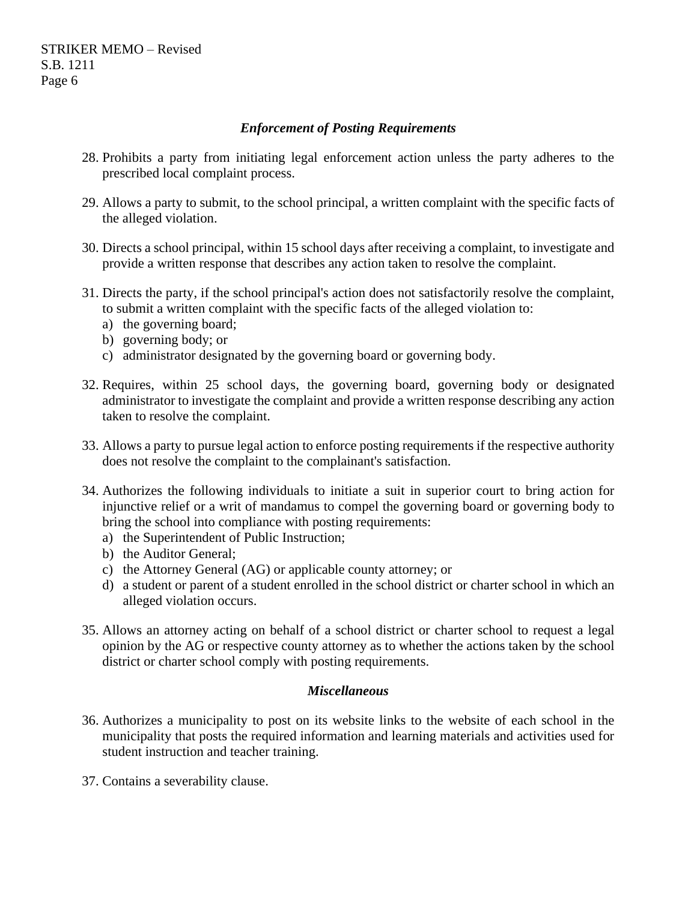STRIKER MEMO – Revised S.B. 1211 Page 6

## *Enforcement of Posting Requirements*

- 28. Prohibits a party from initiating legal enforcement action unless the party adheres to the prescribed local complaint process.
- 29. Allows a party to submit, to the school principal, a written complaint with the specific facts of the alleged violation.
- 30. Directs a school principal, within 15 school days after receiving a complaint, to investigate and provide a written response that describes any action taken to resolve the complaint.
- 31. Directs the party, if the school principal's action does not satisfactorily resolve the complaint, to submit a written complaint with the specific facts of the alleged violation to:
	- a) the governing board;
	- b) governing body; or
	- c) administrator designated by the governing board or governing body.
- 32. Requires, within 25 school days, the governing board, governing body or designated administrator to investigate the complaint and provide a written response describing any action taken to resolve the complaint.
- 33. Allows a party to pursue legal action to enforce posting requirements if the respective authority does not resolve the complaint to the complainant's satisfaction.
- 34. Authorizes the following individuals to initiate a suit in superior court to bring action for injunctive relief or a writ of mandamus to compel the governing board or governing body to bring the school into compliance with posting requirements:
	- a) the Superintendent of Public Instruction;
	- b) the Auditor General;
	- c) the Attorney General (AG) or applicable county attorney; or
	- d) a student or parent of a student enrolled in the school district or charter school in which an alleged violation occurs.
- 35. Allows an attorney acting on behalf of a school district or charter school to request a legal opinion by the AG or respective county attorney as to whether the actions taken by the school district or charter school comply with posting requirements.

#### *Miscellaneous*

- 36. Authorizes a municipality to post on its website links to the website of each school in the municipality that posts the required information and learning materials and activities used for student instruction and teacher training.
- 37. Contains a severability clause.